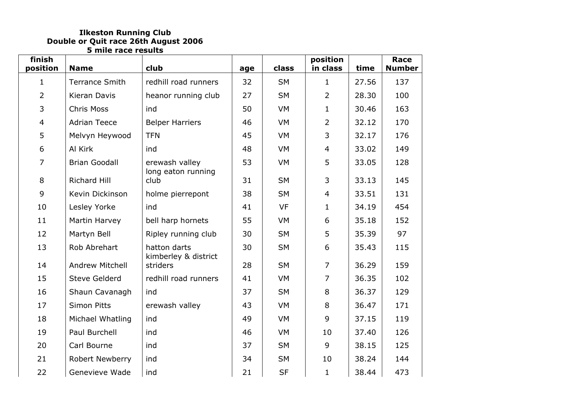## **Ilkeston Running Club Double or Quit race 26th August 2006 5 mile race results**

| finish<br>position | <b>Name</b>           | club                             | age | class     | position<br>in class | time  | Race<br><b>Number</b> |
|--------------------|-----------------------|----------------------------------|-----|-----------|----------------------|-------|-----------------------|
| $\mathbf{1}$       | <b>Terrance Smith</b> | redhill road runners             | 32  | <b>SM</b> | $\mathbf{1}$         | 27.56 | 137                   |
| $\overline{2}$     | Kieran Davis          | heanor running club              | 27  | <b>SM</b> | $\overline{2}$       | 28.30 | 100                   |
| 3                  | <b>Chris Moss</b>     | ind                              | 50  | <b>VM</b> | $\mathbf{1}$         | 30.46 | 163                   |
| $\overline{4}$     | <b>Adrian Teece</b>   | <b>Belper Harriers</b>           | 46  | <b>VM</b> | $\overline{2}$       | 32.12 | 170                   |
| 5                  | Melvyn Heywood        | <b>TFN</b>                       | 45  | <b>VM</b> | 3                    | 32.17 | 176                   |
| 6                  | Al Kirk               | ind                              | 48  | <b>VM</b> | $\overline{4}$       | 33.02 | 149                   |
| $\overline{7}$     | <b>Brian Goodall</b>  | erewash valley                   | 53  | <b>VM</b> | 5                    | 33.05 | 128                   |
| 8                  | <b>Richard Hill</b>   | long eaton running<br>club       | 31  | <b>SM</b> | 3                    | 33.13 | 145                   |
| 9                  | Kevin Dickinson       | holme pierrepont                 | 38  | <b>SM</b> | $\overline{4}$       | 33.51 | 131                   |
| 10                 | Lesley Yorke          | ind                              | 41  | <b>VF</b> | $\mathbf{1}$         | 34.19 | 454                   |
| 11                 | Martin Harvey         | bell harp hornets                | 55  | <b>VM</b> | 6                    | 35.18 | 152                   |
| 12                 | Martyn Bell           | Ripley running club              | 30  | <b>SM</b> | 5                    | 35.39 | 97                    |
| 13                 | Rob Abrehart          | hatton darts                     | 30  | <b>SM</b> | 6                    | 35.43 | 115                   |
| 14                 | Andrew Mitchell       | kimberley & district<br>striders | 28  | <b>SM</b> | $\overline{7}$       | 36.29 | 159                   |
| 15                 | <b>Steve Gelderd</b>  | redhill road runners             | 41  | <b>VM</b> | $\overline{7}$       | 36.35 | 102                   |
| 16                 | Shaun Cavanagh        | ind                              | 37  | <b>SM</b> | 8                    | 36.37 | 129                   |
| 17                 | <b>Simon Pitts</b>    | erewash valley                   | 43  | <b>VM</b> | 8                    | 36.47 | 171                   |
| 18                 | Michael Whatling      | ind                              | 49  | <b>VM</b> | 9                    | 37.15 | 119                   |
| 19                 | Paul Burchell         | ind                              | 46  | <b>VM</b> | 10                   | 37.40 | 126                   |
| 20                 | Carl Bourne           | ind                              | 37  | <b>SM</b> | 9                    | 38.15 | 125                   |
| 21                 | Robert Newberry       | ind                              | 34  | <b>SM</b> | 10                   | 38.24 | 144                   |
| 22                 | Genevieve Wade        | ind                              | 21  | <b>SF</b> | $\mathbf{1}$         | 38.44 | 473                   |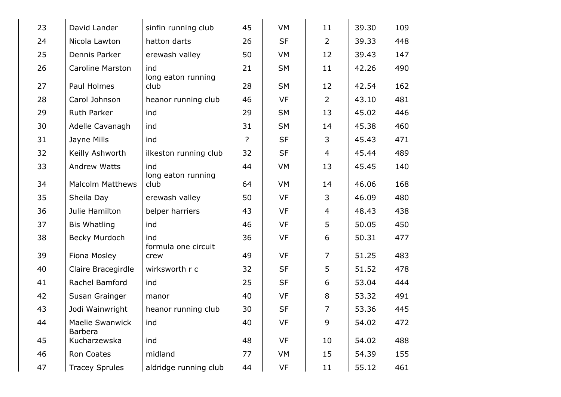| 23 | David Lander                             | sinfin running club        | 45 | <b>VM</b> | 11             | 39.30 | 109 |
|----|------------------------------------------|----------------------------|----|-----------|----------------|-------|-----|
| 24 | Nicola Lawton                            | hatton darts               | 26 | <b>SF</b> | $\overline{2}$ | 39.33 | 448 |
| 25 | Dennis Parker                            | erewash valley             | 50 | VM        | 12             | 39.43 | 147 |
| 26 | <b>Caroline Marston</b>                  | ind                        | 21 | <b>SM</b> | 11             | 42.26 | 490 |
| 27 | Paul Holmes                              | long eaton running<br>club | 28 | <b>SM</b> | 12             | 42.54 | 162 |
| 28 | Carol Johnson                            | heanor running club        | 46 | <b>VF</b> | $\overline{2}$ | 43.10 | 481 |
| 29 | <b>Ruth Parker</b>                       | ind                        | 29 | <b>SM</b> | 13             | 45.02 | 446 |
| 30 | Adelle Cavanagh                          | ind                        | 31 | <b>SM</b> | 14             | 45.38 | 460 |
| 31 | Jayne Mills                              | ind                        | ?  | <b>SF</b> | 3              | 45.43 | 471 |
| 32 | Keilly Ashworth                          | ilkeston running club      | 32 | <b>SF</b> | $\overline{4}$ | 45.44 | 489 |
| 33 | <b>Andrew Watts</b>                      | ind                        | 44 | VM        | 13             | 45.45 | 140 |
| 34 | <b>Malcolm Matthews</b>                  | long eaton running<br>club | 64 | VM        | 14             | 46.06 | 168 |
| 35 | Sheila Day                               | erewash valley             | 50 | <b>VF</b> | 3              | 46.09 | 480 |
| 36 | Julie Hamilton                           | belper harriers            | 43 | <b>VF</b> | $\overline{4}$ | 48.43 | 438 |
| 37 | <b>Bis Whatling</b>                      | ind                        | 46 | <b>VF</b> | 5              | 50.05 | 450 |
| 38 | Becky Murdoch                            | ind<br>formula one circuit | 36 | <b>VF</b> | 6              | 50.31 | 477 |
| 39 | Fiona Mosley                             | crew                       | 49 | <b>VF</b> | $\overline{7}$ | 51.25 | 483 |
| 40 | Claire Bracegirdle                       | wirksworth r c             | 32 | <b>SF</b> | 5              | 51.52 | 478 |
| 41 | Rachel Bamford                           | ind                        | 25 | <b>SF</b> | 6              | 53.04 | 444 |
| 42 | Susan Grainger                           | manor                      | 40 | <b>VF</b> | 8              | 53.32 | 491 |
| 43 | Jodi Wainwright                          | heanor running club        | 30 | <b>SF</b> | $\overline{7}$ | 53.36 | 445 |
| 44 | <b>Maelie Swanwick</b><br><b>Barbera</b> | ind                        | 40 | <b>VF</b> | 9              | 54.02 | 472 |
| 45 | Kucharzewska                             | ind                        | 48 | <b>VF</b> | 10             | 54.02 | 488 |
| 46 | Ron Coates                               | midland                    | 77 | <b>VM</b> | 15             | 54.39 | 155 |
| 47 | <b>Tracey Sprules</b>                    | aldridge running club      | 44 | VF        | 11             | 55.12 | 461 |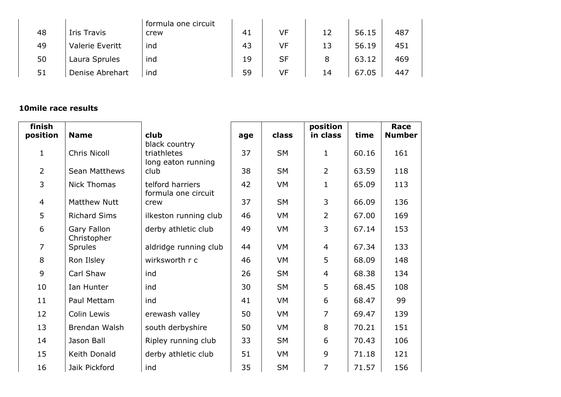| 48 | Iris Travis     | formula one circuit<br>crew | 41 | VF        | 12 | 56.15 | 487 |
|----|-----------------|-----------------------------|----|-----------|----|-------|-----|
| 49 | Valerie Everitt | ind                         | 43 | VF        | 13 | 56.19 | 451 |
| 50 | Laura Sprules   | ind                         | 19 | <b>SF</b> | 8  | 63.12 | 469 |
| 51 | Denise Abrehart | ind                         | 59 | VF        | 14 | 67.05 | 447 |

## **10mile race results**

| finish<br>position | <b>Name</b>                | club                                               | age | class     | position<br>in class | time  | Race<br><b>Number</b> |
|--------------------|----------------------------|----------------------------------------------------|-----|-----------|----------------------|-------|-----------------------|
| $\mathbf 1$        | <b>Chris Nicoll</b>        | black country<br>triathletes<br>long eaton running | 37  | <b>SM</b> | $\mathbf{1}$         | 60.16 | 161                   |
| $\overline{2}$     | Sean Matthews              | club                                               | 38  | <b>SM</b> | $\overline{2}$       | 63.59 | 118                   |
| 3                  | <b>Nick Thomas</b>         | telford harriers<br>formula one circuit            | 42  | <b>VM</b> | $\mathbf{1}$         | 65.09 | 113                   |
| $\overline{4}$     | <b>Matthew Nutt</b>        | crew                                               | 37  | <b>SM</b> | 3                    | 66.09 | 136                   |
| 5                  | <b>Richard Sims</b>        | ilkeston running club                              | 46  | VM        | $\overline{2}$       | 67.00 | 169                   |
| 6                  | Gary Fallon<br>Christopher | derby athletic club                                | 49  | <b>VM</b> | 3                    | 67.14 | 153                   |
| $\overline{7}$     | <b>Sprules</b>             | aldridge running club                              | 44  | <b>VM</b> | 4                    | 67.34 | 133                   |
| 8                  | Ron Ilsley                 | wirksworth r c                                     | 46  | VM        | 5                    | 68.09 | 148                   |
| 9                  | Carl Shaw                  | ind                                                | 26  | <b>SM</b> | 4                    | 68.38 | 134                   |
| 10                 | Ian Hunter                 | ind                                                | 30  | <b>SM</b> | 5                    | 68.45 | 108                   |
| 11                 | Paul Mettam                | ind                                                | 41  | <b>VM</b> | 6                    | 68.47 | 99                    |
| 12                 | Colin Lewis                | erewash valley                                     | 50  | <b>VM</b> | 7                    | 69.47 | 139                   |
| 13                 | Brendan Walsh              | south derbyshire                                   | 50  | <b>VM</b> | 8                    | 70.21 | 151                   |
| 14                 | Jason Ball                 | Ripley running club                                | 33  | <b>SM</b> | 6                    | 70.43 | 106                   |
| 15                 | Keith Donald               | derby athletic club                                | 51  | VM        | 9                    | 71.18 | 121                   |
| 16                 | Jaik Pickford              | ind                                                | 35  | <b>SM</b> | $\overline{7}$       | 71.57 | 156                   |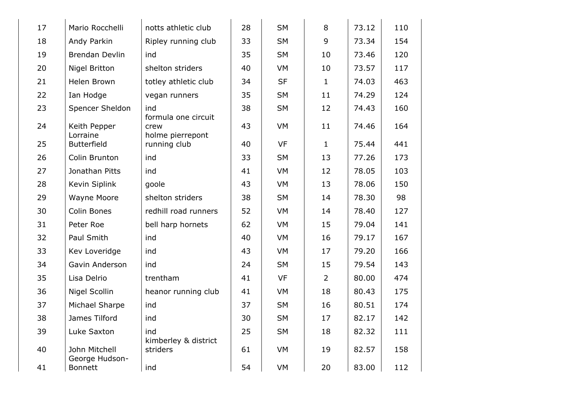| 17 | Mario Rocchelli                 | notts athletic club                             | 28 | <b>SM</b> | 8              | 73.12 | 110 |
|----|---------------------------------|-------------------------------------------------|----|-----------|----------------|-------|-----|
| 18 | Andy Parkin                     | Ripley running club                             | 33 | <b>SM</b> | 9              | 73.34 | 154 |
| 19 | <b>Brendan Devlin</b>           | ind                                             | 35 | <b>SM</b> | 10             | 73.46 | 120 |
| 20 | <b>Nigel Britton</b>            | shelton striders                                | 40 | <b>VM</b> | 10             | 73.57 | 117 |
| 21 | Helen Brown                     | totley athletic club                            | 34 | <b>SF</b> | $\mathbf{1}$   | 74.03 | 463 |
| 22 | Ian Hodge                       | vegan runners                                   | 35 | <b>SM</b> | 11             | 74.29 | 124 |
| 23 | Spencer Sheldon                 | ind                                             | 38 | <b>SM</b> | 12             | 74.43 | 160 |
| 24 | Keith Pepper<br>Lorraine        | formula one circuit<br>crew<br>holme pierrepont | 43 | <b>VM</b> | 11             | 74.46 | 164 |
| 25 | <b>Butterfield</b>              | running club                                    | 40 | <b>VF</b> | $\mathbf{1}$   | 75.44 | 441 |
| 26 | Colin Brunton                   | ind                                             | 33 | <b>SM</b> | 13             | 77.26 | 173 |
| 27 | Jonathan Pitts                  | ind                                             | 41 | <b>VM</b> | 12             | 78.05 | 103 |
| 28 | Kevin Siplink                   | goole                                           | 43 | VM        | 13             | 78.06 | 150 |
| 29 | Wayne Moore                     | shelton striders                                | 38 | <b>SM</b> | 14             | 78.30 | 98  |
| 30 | Colin Bones                     | redhill road runners                            | 52 | VM        | 14             | 78.40 | 127 |
| 31 | Peter Roe                       | bell harp hornets                               | 62 | VM        | 15             | 79.04 | 141 |
| 32 | Paul Smith                      | ind                                             | 40 | VM        | 16             | 79.17 | 167 |
| 33 | Kev Loveridge                   | ind                                             | 43 | VM        | 17             | 79.20 | 166 |
| 34 | Gavin Anderson                  | ind                                             | 24 | <b>SM</b> | 15             | 79.54 | 143 |
| 35 | Lisa Delrio                     | trentham                                        | 41 | <b>VF</b> | $\overline{2}$ | 80.00 | 474 |
| 36 | Nigel Scollin                   | heanor running club                             | 41 | <b>VM</b> | 18             | 80.43 | 175 |
| 37 | Michael Sharpe                  | ind                                             | 37 | <b>SM</b> | 16             | 80.51 | 174 |
| 38 | James Tilford                   | ind                                             | 30 | SM        | 17             | 82.17 | 142 |
| 39 | Luke Saxton                     | ind<br>kimberley & district                     | 25 | <b>SM</b> | 18             | 82.32 | 111 |
| 40 | John Mitchell<br>George Hudson- | striders                                        | 61 | <b>VM</b> | 19             | 82.57 | 158 |
| 41 | <b>Bonnett</b>                  | ind                                             | 54 | <b>VM</b> | 20             | 83.00 | 112 |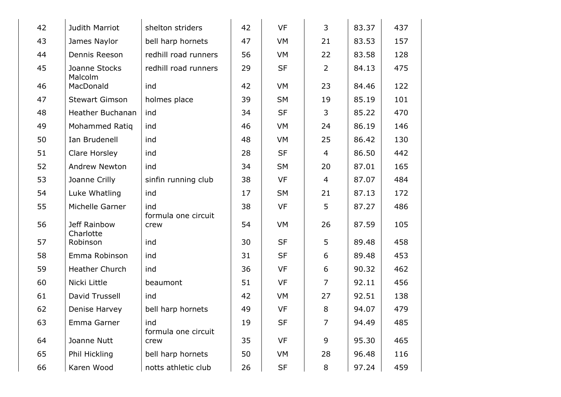| 42 | Judith Marriot            | shelton striders           | 42 | VF        | 3              | 83.37 | 437 |
|----|---------------------------|----------------------------|----|-----------|----------------|-------|-----|
| 43 | James Naylor              | bell harp hornets          | 47 | VM        | 21             | 83.53 | 157 |
| 44 | Dennis Reeson             | redhill road runners       | 56 | VM        | 22             | 83.58 | 128 |
| 45 | Joanne Stocks<br>Malcolm  | redhill road runners       | 29 | <b>SF</b> | $\overline{2}$ | 84.13 | 475 |
| 46 | MacDonald                 | ind                        | 42 | VM        | 23             | 84.46 | 122 |
| 47 | <b>Stewart Gimson</b>     | holmes place               | 39 | <b>SM</b> | 19             | 85.19 | 101 |
| 48 | <b>Heather Buchanan</b>   | ind                        | 34 | <b>SF</b> | 3              | 85.22 | 470 |
| 49 | Mohammed Ratiq            | ind                        | 46 | VM        | 24             | 86.19 | 146 |
| 50 | Ian Brudenell             | ind                        | 48 | VM        | 25             | 86.42 | 130 |
| 51 | Clare Horsley             | ind                        | 28 | <b>SF</b> | 4              | 86.50 | 442 |
| 52 | Andrew Newton             | ind                        | 34 | <b>SM</b> | 20             | 87.01 | 165 |
| 53 | Joanne Crilly             | sinfin running club        | 38 | VF        | $\overline{4}$ | 87.07 | 484 |
| 54 | Luke Whatling             | ind                        | 17 | <b>SM</b> | 21             | 87.13 | 172 |
| 55 | Michelle Garner           | ind<br>formula one circuit | 38 | VF        | 5              | 87.27 | 486 |
| 56 | Jeff Rainbow<br>Charlotte | crew                       | 54 | VM        | 26             | 87.59 | 105 |
| 57 | Robinson                  | ind                        | 30 | <b>SF</b> | 5              | 89.48 | 458 |
| 58 | Emma Robinson             | ind                        | 31 | <b>SF</b> | 6              | 89.48 | 453 |
| 59 | Heather Church            | ind                        | 36 | VF        | 6              | 90.32 | 462 |
| 60 | Nicki Little              | beaumont                   | 51 | <b>VF</b> | $\overline{7}$ | 92.11 | 456 |
| 61 | David Trussell            | ind                        | 42 | VM        | 27             | 92.51 | 138 |
| 62 | Denise Harvey             | bell harp hornets          | 49 | <b>VF</b> | 8              | 94.07 | 479 |
| 63 | Emma Garner               | ind<br>formula one circuit | 19 | <b>SF</b> | 7              | 94.49 | 485 |
| 64 | Joanne Nutt               | crew                       | 35 | <b>VF</b> | 9              | 95.30 | 465 |
| 65 | Phil Hickling             | bell harp hornets          | 50 | VM        | 28             | 96.48 | 116 |
| 66 | Karen Wood                | notts athletic club        | 26 | <b>SF</b> | 8              | 97.24 | 459 |